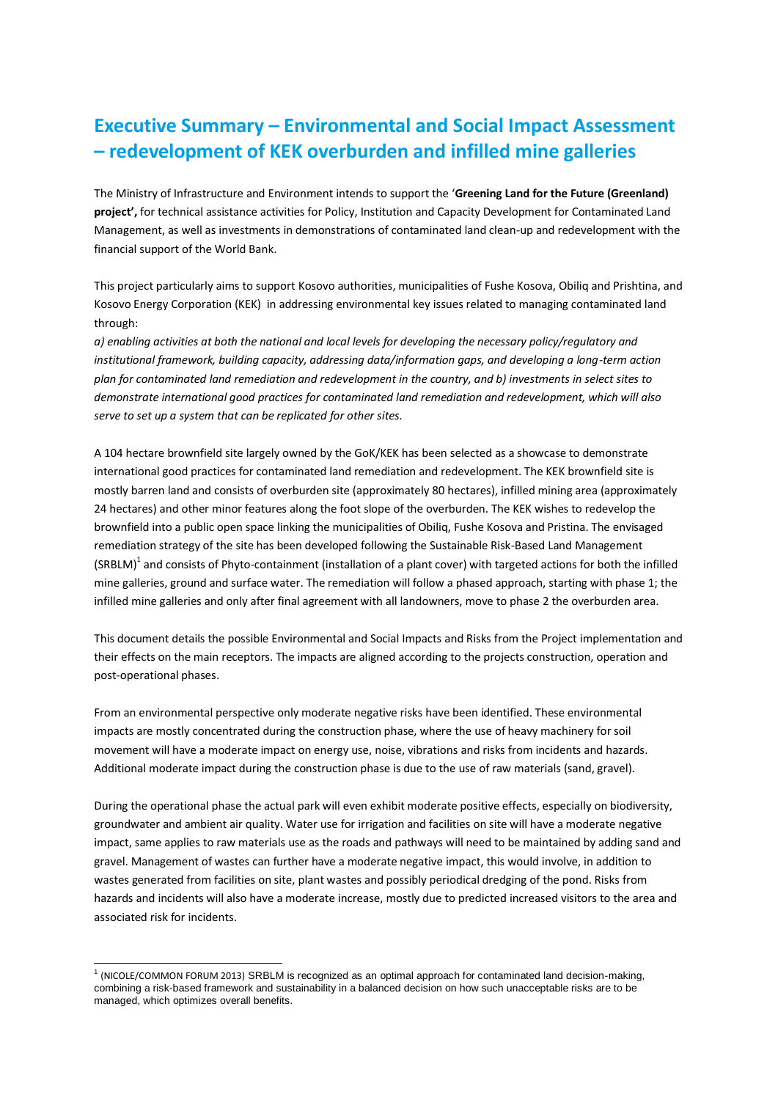## **Executive Summary – Environmental and Social Impact Assessment – redevelopment of KEK overburden and infilled mine galleries**

The Ministry of Infrastructure and Environment intends to support the '**Greening Land for the Future (Greenland) project',** for technical assistance activities for Policy, Institution and Capacity Development for Contaminated Land Management, as well as investments in demonstrations of contaminated land clean-up and redevelopment with the financial support of the World Bank.

This project particularly aims to support Kosovo authorities, municipalities of Fushe Kosova, Obiliq and Prishtina, and Kosovo Energy Corporation (KEK) in addressing environmental key issues related to managing contaminated land through:

*a) enabling activities at both the national and local levels for developing the necessary policy/regulatory and institutional framework, building capacity, addressing data/information gaps, and developing a long-term action plan for contaminated land remediation and redevelopment in the country, and b) investments in select sites to demonstrate international good practices for contaminated land remediation and redevelopment, which will also serve to set up a system that can be replicated for other sites.*

A 104 hectare brownfield site largely owned by the GoK/KEK has been selected as a showcase to demonstrate international good practices for contaminated land remediation and redevelopment. The KEK brownfield site is mostly barren land and consists of overburden site (approximately 80 hectares), infilled mining area (approximately 24 hectares) and other minor features along the foot slope of the overburden. The KEK wishes to redevelop the brownfield into a public open space linking the municipalities of Obiliq, Fushe Kosova and Pristina. The envisaged remediation strategy of the site has been developed following the Sustainable Risk-Based Land Management  $(SRBLM)^{1}$  and consists of Phyto-containment (installation of a plant cover) with targeted actions for both the infilled mine galleries, ground and surface water. The remediation will follow a phased approach, starting with phase 1; the infilled mine galleries and only after final agreement with all landowners, move to phase 2 the overburden area.

This document details the possible Environmental and Social Impacts and Risks from the Project implementation and their effects on the main receptors. The impacts are aligned according to the projects construction, operation and post-operational phases.

From an environmental perspective only moderate negative risks have been identified. These environmental impacts are mostly concentrated during the construction phase, where the use of heavy machinery for soil movement will have a moderate impact on energy use, noise, vibrations and risks from incidents and hazards. Additional moderate impact during the construction phase is due to the use of raw materials (sand, gravel).

During the operational phase the actual park will even exhibit moderate positive effects, especially on biodiversity, groundwater and ambient air quality. Water use for irrigation and facilities on site will have a moderate negative impact, same applies to raw materials use as the roads and pathways will need to be maintained by adding sand and gravel. Management of wastes can further have a moderate negative impact, this would involve, in addition to wastes generated from facilities on site, plant wastes and possibly periodical dredging of the pond. Risks from hazards and incidents will also have a moderate increase, mostly due to predicted increased visitors to the area and associated risk for incidents.

-

<sup>1</sup> (NICOLE/COMMON FORUM 2013) SRBLM is recognized as an optimal approach for contaminated land decision-making, combining a risk-based framework and sustainability in a balanced decision on how such unacceptable risks are to be managed, which optimizes overall benefits.